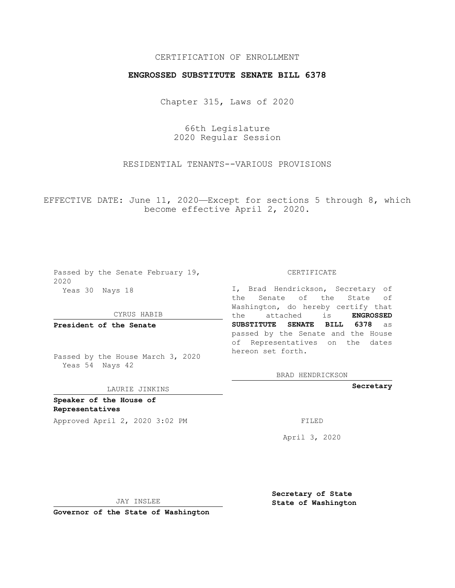## CERTIFICATION OF ENROLLMENT

## **ENGROSSED SUBSTITUTE SENATE BILL 6378**

Chapter 315, Laws of 2020

66th Legislature 2020 Regular Session

RESIDENTIAL TENANTS--VARIOUS PROVISIONS

EFFECTIVE DATE: June 11, 2020—Except for sections 5 through 8, which become effective April 2, 2020.

Passed by the Senate February 19, 2020 Yeas 30 Nays 18

#### CYRUS HABIB

**President of the Senate**

Passed by the House March 3, 2020 Yeas 54 Nays 42

#### LAURIE JINKINS

**Speaker of the House of Representatives**

Approved April 2, 2020 3:02 PM FILED

CERTIFICATE

I, Brad Hendrickson, Secretary of the Senate of the State of Washington, do hereby certify that the attached is **ENGROSSED SUBSTITUTE SENATE BILL 6378** as passed by the Senate and the House of Representatives on the dates hereon set forth.

BRAD HENDRICKSON

**Secretary**

April 3, 2020

**Secretary of State**

JAY INSLEE

 **State of Washington**

**Governor of the State of Washington**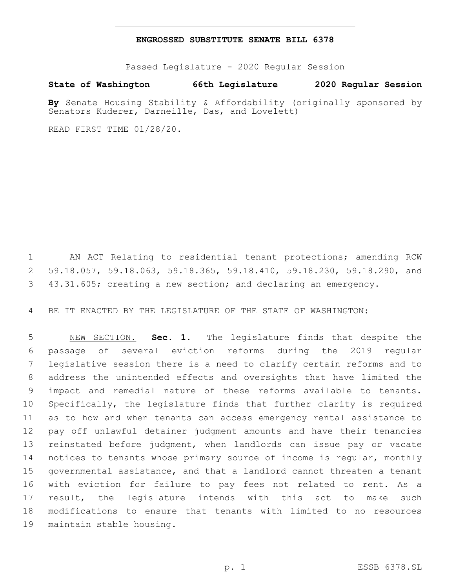### **ENGROSSED SUBSTITUTE SENATE BILL 6378**

Passed Legislature - 2020 Regular Session

**State of Washington 66th Legislature 2020 Regular Session**

**By** Senate Housing Stability & Affordability (originally sponsored by Senators Kuderer, Darneille, Das, and Lovelett)

READ FIRST TIME 01/28/20.

 AN ACT Relating to residential tenant protections; amending RCW 59.18.057, 59.18.063, 59.18.365, 59.18.410, 59.18.230, 59.18.290, and 43.31.605; creating a new section; and declaring an emergency.

BE IT ENACTED BY THE LEGISLATURE OF THE STATE OF WASHINGTON:

 NEW SECTION. **Sec. 1.** The legislature finds that despite the passage of several eviction reforms during the 2019 regular legislative session there is a need to clarify certain reforms and to address the unintended effects and oversights that have limited the impact and remedial nature of these reforms available to tenants. Specifically, the legislature finds that further clarity is required as to how and when tenants can access emergency rental assistance to pay off unlawful detainer judgment amounts and have their tenancies reinstated before judgment, when landlords can issue pay or vacate notices to tenants whose primary source of income is regular, monthly governmental assistance, and that a landlord cannot threaten a tenant with eviction for failure to pay fees not related to rent. As a result, the legislature intends with this act to make such modifications to ensure that tenants with limited to no resources maintain stable housing.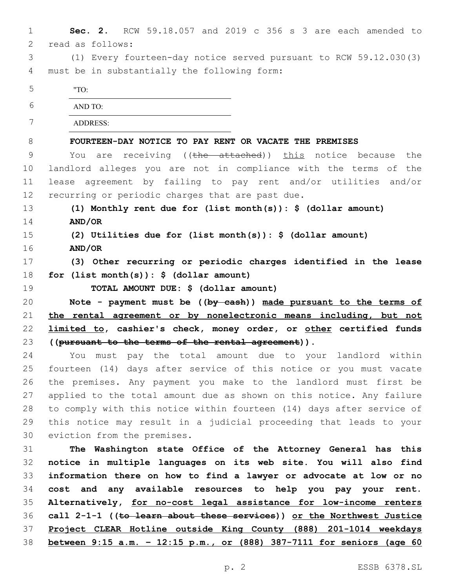| $\mathbf 1$ | Sec. 2. RCW 59.18.057 and 2019 c 356 s 3 are each amended to            |
|-------------|-------------------------------------------------------------------------|
| 2           | read as follows:                                                        |
| 3           | (1) Every fourteen-day notice served pursuant to RCW 59.12.030(3)       |
| 4           | must be in substantially the following form:                            |
| 5           | "TO:                                                                    |
| 6           | AND TO:                                                                 |
| 7           | <b>ADDRESS:</b>                                                         |
| 8           | FOURTEEN-DAY NOTICE TO PAY RENT OR VACATE THE PREMISES                  |
| $\mathsf 9$ | You are receiving ((the attached)) this notice because the              |
| 10          | landlord alleges you are not in compliance with the terms of the        |
| 11          | lease agreement by failing to pay rent and/or utilities and/or          |
| 12          | recurring or periodic charges that are past due.                        |
| 13          | (1) Monthly rent due for (list month(s)): $\frac{1}{2}$ (dollar amount) |
| 14          | AND/OR                                                                  |
| 15          | (2) Utilities due for (list month(s)): $\frac{1}{2}$ (dollar amount)    |
| 16          | AND/OR                                                                  |
| 17          | (3) Other recurring or periodic charges identified in the lease         |
| 18          | for $(list month(s)):$ \$ (dollar amount)                               |
| 19          | TOTAL AMOUNT DUE: \$ (dollar amount)                                    |
| 20          | Note - payment must be $((by-eash))$ made pursuant to the terms of      |
| 21          | the rental agreement or by nonelectronic means including, but not       |
| 22          | limited to, cashier's check, money order, or other certified funds      |
| 23          | ((pursuant to the terms of the rental agreement)).                      |
| 24          | You must pay the total amount due to your landlord within               |
| 25          | fourteen (14) days after service of this notice or you must vacate      |
| 26          | the premises. Any payment you make to the landlord must first be        |
| 27          | applied to the total amount due as shown on this notice. Any failure    |
| 28          | to comply with this notice within fourteen (14) days after service of   |
| 29          | this notice may result in a judicial proceeding that leads to your      |
| 30          | eviction from the premises.                                             |
| 31          | The Washington state Office of the Attorney General has this            |
| 32          | notice in multiple languages on its web site. You will also find        |
| 33          | information there on how to find a lawyer or advocate at low or no      |
| 34          | cost and any available resources to help you pay your rent.             |
| 35          | Alternatively, for no-cost legal assistance for low-income renters      |
| 36          | call 2-1-1 ((to learn about these services)) or the Northwest Justice   |
| 37          | Project CLEAR Hotline outside King County (888) 201-1014 weekdays       |
| 38          | between 9:15 a.m. - 12:15 p.m., or (888) 387-7111 for seniors (age 60   |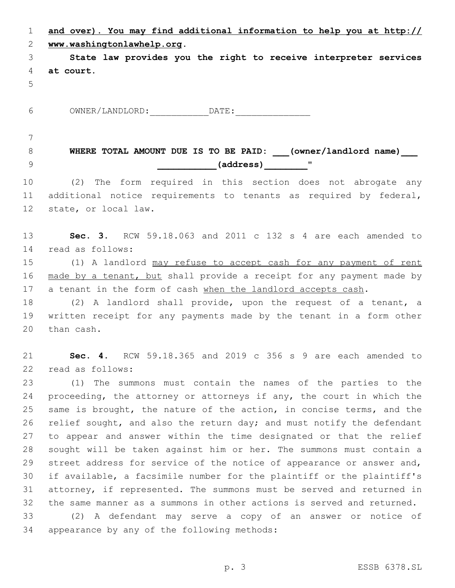|          | and over). You may find additional information to help you at http:// |
|----------|-----------------------------------------------------------------------|
|          | 2 www.washingtonlawhelp.org.                                          |
| $3 \sim$ | State law provides you the right to receive interpreter services      |
|          | 4 at court.                                                           |
| .5       |                                                                       |

6 OWNER/LANDLORD: DATE:

# **WHERE TOTAL AMOUNT DUE IS TO BE PAID: \_\_\_(owner/landlord name)\_\_\_ \_\_\_\_\_\_\_\_\_\_\_(address)\_\_\_\_\_\_\_\_**"9

 (2) The form required in this section does not abrogate any additional notice requirements to tenants as required by federal, 12 state, or local law.

 **Sec. 3.** RCW 59.18.063 and 2011 c 132 s 4 are each amended to 14 read as follows:

 (1) A landlord may refuse to accept cash for any payment of rent 16 made by a tenant, but shall provide a receipt for any payment made by 17 a tenant in the form of cash when the landlord accepts cash.

 (2) A landlord shall provide, upon the request of a tenant, a written receipt for any payments made by the tenant in a form other 20 than cash.

 **Sec. 4.** RCW 59.18.365 and 2019 c 356 s 9 are each amended to 22 read as follows:

 (1) The summons must contain the names of the parties to the proceeding, the attorney or attorneys if any, the court in which the same is brought, the nature of the action, in concise terms, and the 26 relief sought, and also the return day; and must notify the defendant to appear and answer within the time designated or that the relief sought will be taken against him or her. The summons must contain a 29 street address for service of the notice of appearance or answer and, if available, a facsimile number for the plaintiff or the plaintiff's attorney, if represented. The summons must be served and returned in the same manner as a summons in other actions is served and returned.

 (2) A defendant may serve a copy of an answer or notice of 34 appearance by any of the following methods: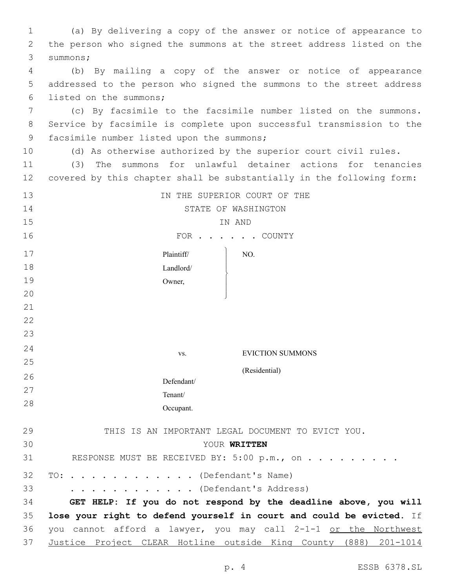| $\mathbf{1}$ | (a) By delivering a copy of the answer or notice of appearance to     |
|--------------|-----------------------------------------------------------------------|
| 2            | the person who signed the summons at the street address listed on the |
| 3            | summons;                                                              |
| 4            | (b) By mailing a copy of the answer or notice of appearance           |
| 5            | addressed to the person who signed the summons to the street address  |
| 6            | listed on the summons;                                                |
| 7            | (c) By facsimile to the facsimile number listed on the summons.       |
| 8            | Service by facsimile is complete upon successful transmission to the  |
| $\mathsf 9$  | facsimile number listed upon the summons;                             |
| 10           | (d) As otherwise authorized by the superior court civil rules.        |
| 11           | The summons for unlawful detainer actions for tenancies<br>(3)        |
| 12           | covered by this chapter shall be substantially in the following form: |
| 13           | IN THE SUPERIOR COURT OF THE                                          |
| 14           | STATE OF WASHINGTON                                                   |
| 15           | IN AND                                                                |
| 16           | FOR COUNTY                                                            |
| 17           | Plaintiff/<br>NO.                                                     |
| 18           | Landlord/                                                             |
| 19           | Owner,                                                                |
| 20           |                                                                       |
| 21           |                                                                       |
| 22           |                                                                       |
| 23           |                                                                       |
| 24           | <b>EVICTION SUMMONS</b><br>VS.                                        |
| 25           | (Residential)                                                         |
| 26           | Defendant/                                                            |
| 27           | Tenant/                                                               |
| 28           | Occupant.                                                             |
| 29           | THIS IS AN IMPORTANT LEGAL DOCUMENT TO EVICT YOU.                     |
| 30           | YOUR WRITTEN                                                          |
| 31           | RESPONSE MUST BE RECEIVED BY: 5:00 p.m., on                           |
| 32           | TO: (Defendant's Name)                                                |
| 33           | . (Defendant's Address)                                               |
| 34           | GET HELP: If you do not respond by the deadline above, you will       |
| 35           | lose your right to defend yourself in court and could be evicted. If  |
| 36           | you cannot afford a lawyer, you may call 2-1-1 or the Northwest       |
| 37           | Justice Project CLEAR Hotline outside King County (888) 201-1014      |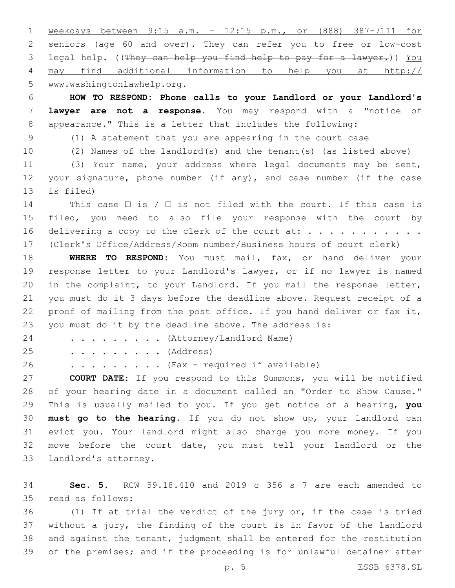weekdays between 9:15 a.m. – 12:15 p.m., or (888) 387-7111 for seniors (age 60 and over). They can refer you to free or low-cost legal help. ((They can help you find help to pay for a lawyer.)) You may find additional information to help you at http:// www.washingtonlawhelp.org.

 **HOW TO RESPOND: Phone calls to your Landlord or your Landlord's lawyer are not a response.** You may respond with a "notice of appearance." This is a letter that includes the following:

(1) A statement that you are appearing in the court case

(2) Names of the landlord(s) and the tenant(s) (as listed above)

 (3) Your name, your address where legal documents may be sent, your signature, phone number (if any), and case number (if the case 13 is filed)

14 This case  $\Box$  is /  $\Box$  is not filed with the court. If this case is filed, you need to also file your response with the court by 16 delivering a copy to the clerk of the court at:  $\dots \dots \dots$ (Clerk's Office/Address/Room number/Business hours of court clerk)

 **WHERE TO RESPOND:** You must mail, fax, or hand deliver your response letter to your Landlord's lawyer, or if no lawyer is named in the complaint, to your Landlord. If you mail the response letter, you must do it 3 days before the deadline above. Request receipt of a proof of mailing from the post office. If you hand deliver or fax it, you must do it by the deadline above. The address is:

24 . . . . . . . . (Attorney/Landlord Name)

25 . . . . . . . . (Address)

. . . . . . . . . (Fax - required if available)

 **COURT DATE:** If you respond to this Summons, you will be notified of your hearing date in a document called an "Order to Show Cause." This is usually mailed to you. If you get notice of a hearing, **you must go to the hearing**. If you do not show up, your landlord can evict you. Your landlord might also charge you more money. If you move before the court date, you must tell your landlord or the 33 landlord's attorney.

 **Sec. 5.** RCW 59.18.410 and 2019 c 356 s 7 are each amended to read as follows:35

 (1) If at trial the verdict of the jury or, if the case is tried without a jury, the finding of the court is in favor of the landlord and against the tenant, judgment shall be entered for the restitution of the premises; and if the proceeding is for unlawful detainer after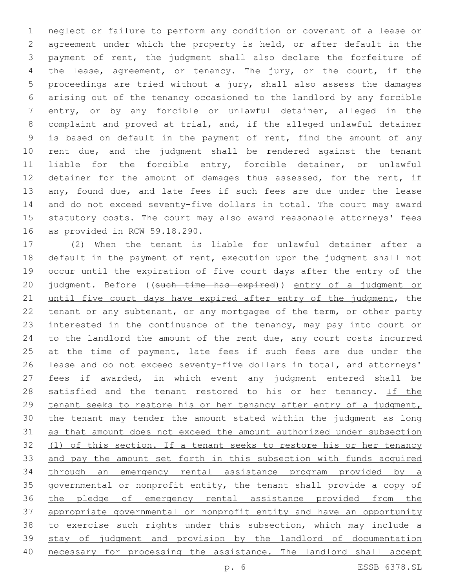neglect or failure to perform any condition or covenant of a lease or agreement under which the property is held, or after default in the payment of rent, the judgment shall also declare the forfeiture of the lease, agreement, or tenancy. The jury, or the court, if the proceedings are tried without a jury, shall also assess the damages arising out of the tenancy occasioned to the landlord by any forcible entry, or by any forcible or unlawful detainer, alleged in the complaint and proved at trial, and, if the alleged unlawful detainer is based on default in the payment of rent, find the amount of any rent due, and the judgment shall be rendered against the tenant liable for the forcible entry, forcible detainer, or unlawful 12 detainer for the amount of damages thus assessed, for the rent, if 13 any, found due, and late fees if such fees are due under the lease and do not exceed seventy-five dollars in total. The court may award statutory costs. The court may also award reasonable attorneys' fees 16 as provided in RCW 59.18.290.

 (2) When the tenant is liable for unlawful detainer after a default in the payment of rent, execution upon the judgment shall not occur until the expiration of five court days after the entry of the 20 judgment. Before ((such time has expired)) entry of a judgment or 21 until five court days have expired after entry of the judgment, the tenant or any subtenant, or any mortgagee of the term, or other party interested in the continuance of the tenancy, may pay into court or to the landlord the amount of the rent due, any court costs incurred 25 at the time of payment, late fees if such fees are due under the lease and do not exceed seventy-five dollars in total, and attorneys' fees if awarded, in which event any judgment entered shall be 28 satisfied and the tenant restored to his or her tenancy. If the tenant seeks to restore his or her tenancy after entry of a judgment, the tenant may tender the amount stated within the judgment as long as that amount does not exceed the amount authorized under subsection (1) of this section. If a tenant seeks to restore his or her tenancy and pay the amount set forth in this subsection with funds acquired through an emergency rental assistance program provided by a governmental or nonprofit entity, the tenant shall provide a copy of the pledge of emergency rental assistance provided from the appropriate governmental or nonprofit entity and have an opportunity to exercise such rights under this subsection, which may include a stay of judgment and provision by the landlord of documentation necessary for processing the assistance. The landlord shall accept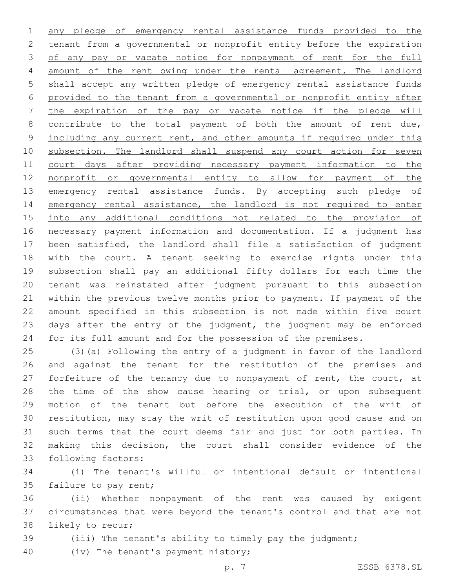any pledge of emergency rental assistance funds provided to the tenant from a governmental or nonprofit entity before the expiration 3 of any pay or vacate notice for nonpayment of rent for the full amount of the rent owing under the rental agreement. The landlord 5 shall accept any written pledge of emergency rental assistance funds provided to the tenant from a governmental or nonprofit entity after the expiration of the pay or vacate notice if the pledge will 8 contribute to the total payment of both the amount of rent due, 9 including any current rent, and other amounts if required under this 10 subsection. The landlord shall suspend any court action for seven court days after providing necessary payment information to the nonprofit or governmental entity to allow for payment of the 13 emergency rental assistance funds. By accepting such pledge of 14 emergency rental assistance, the landlord is not required to enter into any additional conditions not related to the provision of necessary payment information and documentation. If a judgment has been satisfied, the landlord shall file a satisfaction of judgment with the court. A tenant seeking to exercise rights under this subsection shall pay an additional fifty dollars for each time the tenant was reinstated after judgment pursuant to this subsection within the previous twelve months prior to payment. If payment of the amount specified in this subsection is not made within five court days after the entry of the judgment, the judgment may be enforced for its full amount and for the possession of the premises.

 (3)(a) Following the entry of a judgment in favor of the landlord and against the tenant for the restitution of the premises and 27 forfeiture of the tenancy due to nonpayment of rent, the court, at the time of the show cause hearing or trial, or upon subsequent motion of the tenant but before the execution of the writ of restitution, may stay the writ of restitution upon good cause and on such terms that the court deems fair and just for both parties. In making this decision, the court shall consider evidence of the 33 following factors:

 (i) The tenant's willful or intentional default or intentional 35 failure to pay rent;

 (ii) Whether nonpayment of the rent was caused by exigent circumstances that were beyond the tenant's control and that are not 38 likely to recur;

(iii) The tenant's ability to timely pay the judgment;

40 (iv) The tenant's payment history;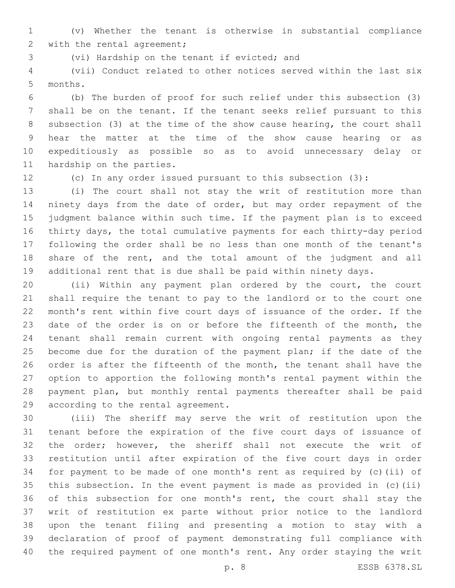(v) Whether the tenant is otherwise in substantial compliance 2 with the rental agreement;

3 (vi) Hardship on the tenant if evicted; and

 (vii) Conduct related to other notices served within the last six 5 months.

 (b) The burden of proof for such relief under this subsection (3) shall be on the tenant. If the tenant seeks relief pursuant to this subsection (3) at the time of the show cause hearing, the court shall hear the matter at the time of the show cause hearing or as expeditiously as possible so as to avoid unnecessary delay or 11 hardship on the parties.

(c) In any order issued pursuant to this subsection (3):

 (i) The court shall not stay the writ of restitution more than ninety days from the date of order, but may order repayment of the judgment balance within such time. If the payment plan is to exceed thirty days, the total cumulative payments for each thirty-day period following the order shall be no less than one month of the tenant's share of the rent, and the total amount of the judgment and all additional rent that is due shall be paid within ninety days.

 (ii) Within any payment plan ordered by the court, the court shall require the tenant to pay to the landlord or to the court one month's rent within five court days of issuance of the order. If the 23 date of the order is on or before the fifteenth of the month, the tenant shall remain current with ongoing rental payments as they 25 become due for the duration of the payment plan; if the date of the order is after the fifteenth of the month, the tenant shall have the option to apportion the following month's rental payment within the payment plan, but monthly rental payments thereafter shall be paid 29 according to the rental agreement.

 (iii) The sheriff may serve the writ of restitution upon the tenant before the expiration of the five court days of issuance of the order; however, the sheriff shall not execute the writ of restitution until after expiration of the five court days in order for payment to be made of one month's rent as required by (c)(ii) of this subsection. In the event payment is made as provided in (c)(ii) 36 of this subsection for one month's rent, the court shall stay the writ of restitution ex parte without prior notice to the landlord upon the tenant filing and presenting a motion to stay with a declaration of proof of payment demonstrating full compliance with the required payment of one month's rent. Any order staying the writ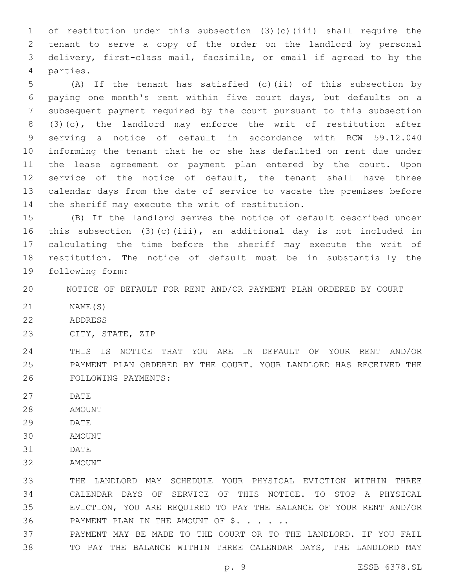of restitution under this subsection (3)(c)(iii) shall require the tenant to serve a copy of the order on the landlord by personal delivery, first-class mail, facsimile, or email if agreed to by the 4 parties.

 (A) If the tenant has satisfied (c)(ii) of this subsection by paying one month's rent within five court days, but defaults on a subsequent payment required by the court pursuant to this subsection (3)(c), the landlord may enforce the writ of restitution after serving a notice of default in accordance with RCW 59.12.040 informing the tenant that he or she has defaulted on rent due under the lease agreement or payment plan entered by the court. Upon service of the notice of default, the tenant shall have three calendar days from the date of service to vacate the premises before 14 the sheriff may execute the writ of restitution.

 (B) If the landlord serves the notice of default described under this subsection (3)(c)(iii), an additional day is not included in calculating the time before the sheriff may execute the writ of restitution. The notice of default must be in substantially the 19 following form:

NOTICE OF DEFAULT FOR RENT AND/OR PAYMENT PLAN ORDERED BY COURT

- NAME(S)
- 22 ADDRESS
- 23 CITY, STATE, ZIP

 THIS IS NOTICE THAT YOU ARE IN DEFAULT OF YOUR RENT AND/OR PAYMENT PLAN ORDERED BY THE COURT. YOUR LANDLORD HAS RECEIVED THE 26 FOLLOWING PAYMENTS:

- 27 DATE
- 28 AMOUNT
- 29 DATE
- 30 AMOUNT
- 31 DATE
- 32 AMOUNT

 THE LANDLORD MAY SCHEDULE YOUR PHYSICAL EVICTION WITHIN THREE CALENDAR DAYS OF SERVICE OF THIS NOTICE. TO STOP A PHYSICAL EVICTION, YOU ARE REQUIRED TO PAY THE BALANCE OF YOUR RENT AND/OR 36 PAYMENT PLAN IN THE AMOUNT OF \$. . . . .

 PAYMENT MAY BE MADE TO THE COURT OR TO THE LANDLORD. IF YOU FAIL TO PAY THE BALANCE WITHIN THREE CALENDAR DAYS, THE LANDLORD MAY

p. 9 ESSB 6378.SL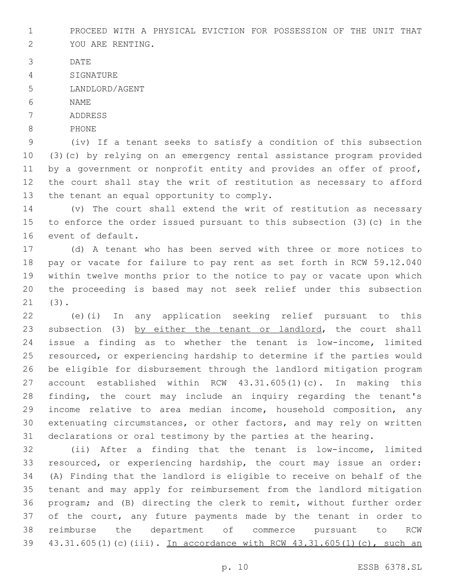PROCEED WITH A PHYSICAL EVICTION FOR POSSESSION OF THE UNIT THAT

- 2 YOU ARE RENTING.
- 3 DATE
- 4 SIGNATURE
- 5 LANDLORD/AGENT
- 6 NAME
- 7 ADDRESS
- 8 PHONE

 (iv) If a tenant seeks to satisfy a condition of this subsection (3)(c) by relying on an emergency rental assistance program provided 11 by a government or nonprofit entity and provides an offer of proof, the court shall stay the writ of restitution as necessary to afford 13 the tenant an equal opportunity to comply.

 (v) The court shall extend the writ of restitution as necessary to enforce the order issued pursuant to this subsection (3)(c) in the 16 event of default.

 (d) A tenant who has been served with three or more notices to pay or vacate for failure to pay rent as set forth in RCW 59.12.040 within twelve months prior to the notice to pay or vacate upon which the proceeding is based may not seek relief under this subsection (3).21

 (e)(i) In any application seeking relief pursuant to this 23 subsection (3) by either the tenant or landlord, the court shall issue a finding as to whether the tenant is low-income, limited resourced, or experiencing hardship to determine if the parties would be eligible for disbursement through the landlord mitigation program account established within RCW 43.31.605(1)(c). In making this finding, the court may include an inquiry regarding the tenant's income relative to area median income, household composition, any extenuating circumstances, or other factors, and may rely on written declarations or oral testimony by the parties at the hearing.

 (ii) After a finding that the tenant is low-income, limited resourced, or experiencing hardship, the court may issue an order: (A) Finding that the landlord is eligible to receive on behalf of the tenant and may apply for reimbursement from the landlord mitigation program; and (B) directing the clerk to remit, without further order 37 of the court, any future payments made by the tenant in order to reimburse the department of commerce pursuant to RCW 43.31.605(1)(c)(iii). In accordance with RCW 43.31.605(1)(c), such an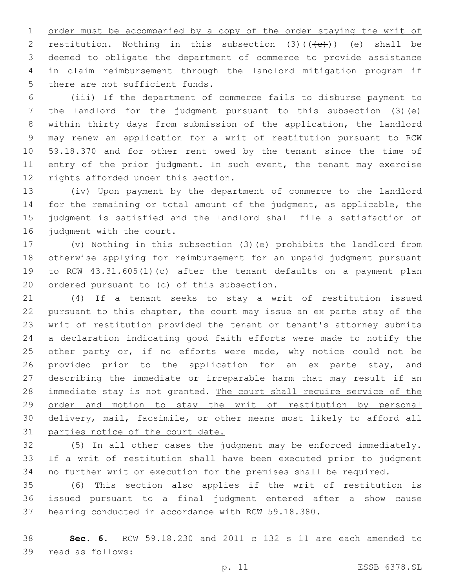order must be accompanied by a copy of the order staying the writ of 2 restitution. Nothing in this subsection  $(3)$   $((e+))$   $(e)$  shall be deemed to obligate the department of commerce to provide assistance in claim reimbursement through the landlord mitigation program if 5 there are not sufficient funds.

 (iii) If the department of commerce fails to disburse payment to the landlord for the judgment pursuant to this subsection (3)(e) within thirty days from submission of the application, the landlord may renew an application for a writ of restitution pursuant to RCW 59.18.370 and for other rent owed by the tenant since the time of 11 entry of the prior judgment. In such event, the tenant may exercise 12 rights afforded under this section.

 (iv) Upon payment by the department of commerce to the landlord for the remaining or total amount of the judgment, as applicable, the judgment is satisfied and the landlord shall file a satisfaction of 16 judgment with the court.

 (v) Nothing in this subsection (3)(e) prohibits the landlord from otherwise applying for reimbursement for an unpaid judgment pursuant to RCW 43.31.605(1)(c) after the tenant defaults on a payment plan 20 ordered pursuant to  $(c)$  of this subsection.

 (4) If a tenant seeks to stay a writ of restitution issued pursuant to this chapter, the court may issue an ex parte stay of the writ of restitution provided the tenant or tenant's attorney submits a declaration indicating good faith efforts were made to notify the 25 other party or, if no efforts were made, why notice could not be 26 provided prior to the application for an ex parte stay, and describing the immediate or irreparable harm that may result if an 28 immediate stay is not granted. The court shall require service of the order and motion to stay the writ of restitution by personal delivery, mail, facsimile, or other means most likely to afford all parties notice of the court date.

 (5) In all other cases the judgment may be enforced immediately. If a writ of restitution shall have been executed prior to judgment no further writ or execution for the premises shall be required.

 (6) This section also applies if the writ of restitution is issued pursuant to a final judgment entered after a show cause hearing conducted in accordance with RCW 59.18.380.

 **Sec. 6.** RCW 59.18.230 and 2011 c 132 s 11 are each amended to 39 read as follows:

p. 11 ESSB 6378.SL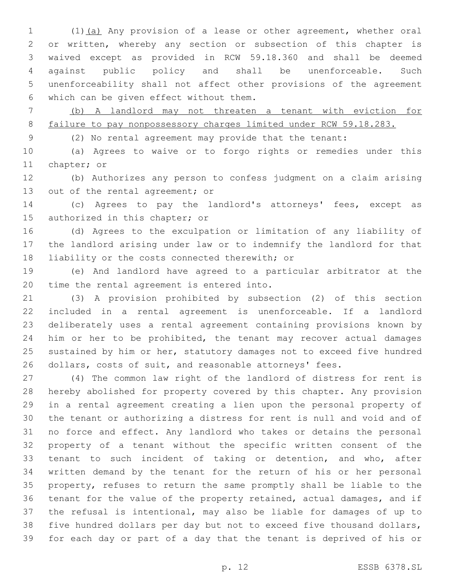(1)(a) Any provision of a lease or other agreement, whether oral or written, whereby any section or subsection of this chapter is waived except as provided in RCW 59.18.360 and shall be deemed against public policy and shall be unenforceable. Such unenforceability shall not affect other provisions of the agreement 6 which can be given effect without them.

 (b) A landlord may not threaten a tenant with eviction for 8 failure to pay nonpossessory charges limited under RCW 59.18.283.

(2) No rental agreement may provide that the tenant:

 (a) Agrees to waive or to forgo rights or remedies under this 11 chapter; or

 (b) Authorizes any person to confess judgment on a claim arising 13 out of the rental agreement; or

 (c) Agrees to pay the landlord's attorneys' fees, except as 15 authorized in this chapter; or

 (d) Agrees to the exculpation or limitation of any liability of the landlord arising under law or to indemnify the landlord for that 18 liability or the costs connected therewith; or

 (e) And landlord have agreed to a particular arbitrator at the 20 time the rental agreement is entered into.

 (3) A provision prohibited by subsection (2) of this section included in a rental agreement is unenforceable. If a landlord deliberately uses a rental agreement containing provisions known by him or her to be prohibited, the tenant may recover actual damages sustained by him or her, statutory damages not to exceed five hundred dollars, costs of suit, and reasonable attorneys' fees.

 (4) The common law right of the landlord of distress for rent is hereby abolished for property covered by this chapter. Any provision in a rental agreement creating a lien upon the personal property of the tenant or authorizing a distress for rent is null and void and of no force and effect. Any landlord who takes or detains the personal property of a tenant without the specific written consent of the tenant to such incident of taking or detention, and who, after written demand by the tenant for the return of his or her personal property, refuses to return the same promptly shall be liable to the tenant for the value of the property retained, actual damages, and if the refusal is intentional, may also be liable for damages of up to five hundred dollars per day but not to exceed five thousand dollars, for each day or part of a day that the tenant is deprived of his or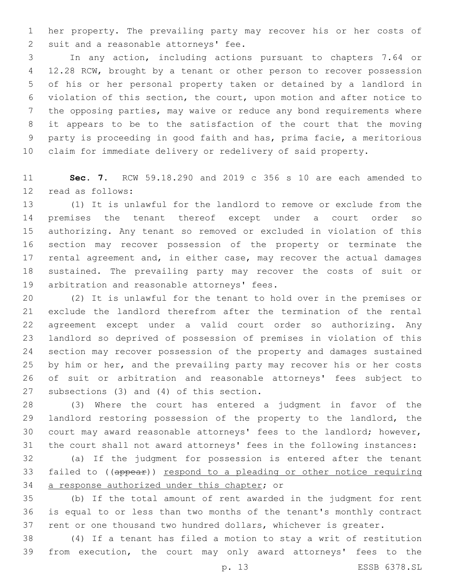her property. The prevailing party may recover his or her costs of 2 suit and a reasonable attorneys' fee.

 In any action, including actions pursuant to chapters 7.64 or 12.28 RCW, brought by a tenant or other person to recover possession of his or her personal property taken or detained by a landlord in violation of this section, the court, upon motion and after notice to the opposing parties, may waive or reduce any bond requirements where it appears to be to the satisfaction of the court that the moving party is proceeding in good faith and has, prima facie, a meritorious claim for immediate delivery or redelivery of said property.

 **Sec. 7.** RCW 59.18.290 and 2019 c 356 s 10 are each amended to 12 read as follows:

 (1) It is unlawful for the landlord to remove or exclude from the premises the tenant thereof except under a court order so authorizing. Any tenant so removed or excluded in violation of this section may recover possession of the property or terminate the rental agreement and, in either case, may recover the actual damages sustained. The prevailing party may recover the costs of suit or 19 arbitration and reasonable attorneys' fees.

 (2) It is unlawful for the tenant to hold over in the premises or exclude the landlord therefrom after the termination of the rental agreement except under a valid court order so authorizing. Any landlord so deprived of possession of premises in violation of this section may recover possession of the property and damages sustained by him or her, and the prevailing party may recover his or her costs of suit or arbitration and reasonable attorneys' fees subject to 27 subsections (3) and (4) of this section.

 (3) Where the court has entered a judgment in favor of the 29 landlord restoring possession of the property to the landlord, the court may award reasonable attorneys' fees to the landlord; however, the court shall not award attorneys' fees in the following instances:

 (a) If the judgment for possession is entered after the tenant failed to ((appear)) respond to a pleading or other notice requiring 34 a response authorized under this chapter; or

 (b) If the total amount of rent awarded in the judgment for rent is equal to or less than two months of the tenant's monthly contract rent or one thousand two hundred dollars, whichever is greater.

 (4) If a tenant has filed a motion to stay a writ of restitution from execution, the court may only award attorneys' fees to the

p. 13 ESSB 6378.SL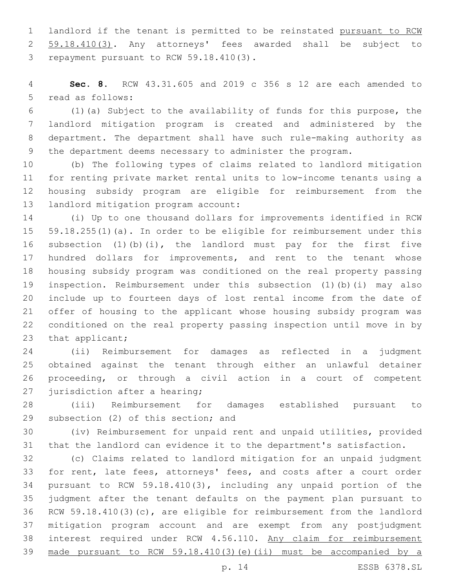landlord if the tenant is permitted to be reinstated pursuant to RCW 59.18.410(3). Any attorneys' fees awarded shall be subject to 3 repayment pursuant to RCW 59.18.410(3).

 **Sec. 8.** RCW 43.31.605 and 2019 c 356 s 12 are each amended to 5 read as follows:

 (1)(a) Subject to the availability of funds for this purpose, the landlord mitigation program is created and administered by the department. The department shall have such rule-making authority as the department deems necessary to administer the program.

 (b) The following types of claims related to landlord mitigation for renting private market rental units to low-income tenants using a housing subsidy program are eligible for reimbursement from the 13 landlord mitigation program account:

 (i) Up to one thousand dollars for improvements identified in RCW 59.18.255(1)(a). In order to be eligible for reimbursement under this subsection (1)(b)(i), the landlord must pay for the first five 17 hundred dollars for improvements, and rent to the tenant whose housing subsidy program was conditioned on the real property passing inspection. Reimbursement under this subsection (1)(b)(i) may also include up to fourteen days of lost rental income from the date of offer of housing to the applicant whose housing subsidy program was conditioned on the real property passing inspection until move in by 23 that applicant;

 (ii) Reimbursement for damages as reflected in a judgment obtained against the tenant through either an unlawful detainer proceeding, or through a civil action in a court of competent 27 jurisdiction after a hearing;

 (iii) Reimbursement for damages established pursuant to 29 subsection (2) of this section; and

 (iv) Reimbursement for unpaid rent and unpaid utilities, provided that the landlord can evidence it to the department's satisfaction.

 (c) Claims related to landlord mitigation for an unpaid judgment for rent, late fees, attorneys' fees, and costs after a court order pursuant to RCW 59.18.410(3), including any unpaid portion of the judgment after the tenant defaults on the payment plan pursuant to RCW 59.18.410(3)(c), are eligible for reimbursement from the landlord mitigation program account and are exempt from any postjudgment interest required under RCW 4.56.110. Any claim for reimbursement made pursuant to RCW 59.18.410(3)(e)(ii) must be accompanied by a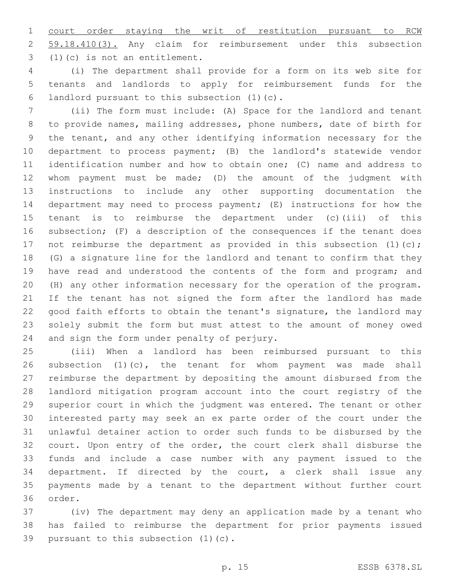court order staying the writ of restitution pursuant to RCW 59.18.410(3). Any claim for reimbursement under this subsection (1)(c) is not an entitlement.3

 (i) The department shall provide for a form on its web site for tenants and landlords to apply for reimbursement funds for the 6 landlord pursuant to this subsection  $(1)(c)$ .

 (ii) The form must include: (A) Space for the landlord and tenant to provide names, mailing addresses, phone numbers, date of birth for the tenant, and any other identifying information necessary for the department to process payment; (B) the landlord's statewide vendor identification number and how to obtain one; (C) name and address to whom payment must be made; (D) the amount of the judgment with instructions to include any other supporting documentation the department may need to process payment; (E) instructions for how the tenant is to reimburse the department under (c)(iii) of this subsection; (F) a description of the consequences if the tenant does 17 not reimburse the department as provided in this subsection (1)(c); (G) a signature line for the landlord and tenant to confirm that they 19 have read and understood the contents of the form and program; and (H) any other information necessary for the operation of the program. If the tenant has not signed the form after the landlord has made good faith efforts to obtain the tenant's signature, the landlord may solely submit the form but must attest to the amount of money owed 24 and sign the form under penalty of perjury.

 (iii) When a landlord has been reimbursed pursuant to this subsection (1)(c), the tenant for whom payment was made shall reimburse the department by depositing the amount disbursed from the landlord mitigation program account into the court registry of the superior court in which the judgment was entered. The tenant or other interested party may seek an ex parte order of the court under the unlawful detainer action to order such funds to be disbursed by the court. Upon entry of the order, the court clerk shall disburse the funds and include a case number with any payment issued to the department. If directed by the court, a clerk shall issue any payments made by a tenant to the department without further court 36 order.

 (iv) The department may deny an application made by a tenant who has failed to reimburse the department for prior payments issued 39 pursuant to this subsection  $(1)(c)$ .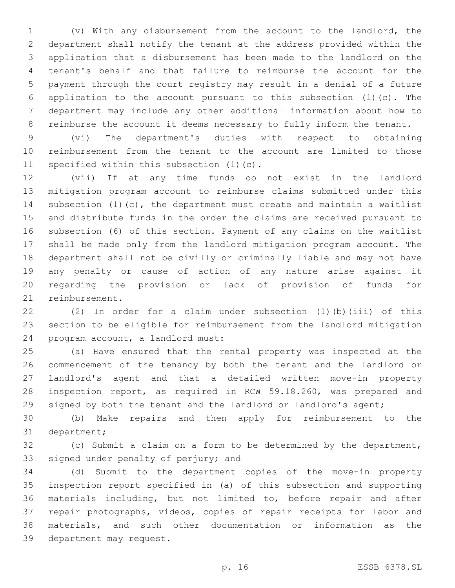(v) With any disbursement from the account to the landlord, the department shall notify the tenant at the address provided within the application that a disbursement has been made to the landlord on the tenant's behalf and that failure to reimburse the account for the payment through the court registry may result in a denial of a future application to the account pursuant to this subsection (1)(c). The department may include any other additional information about how to reimburse the account it deems necessary to fully inform the tenant.

 (vi) The department's duties with respect to obtaining reimbursement from the tenant to the account are limited to those 11 specified within this subsection  $(1)(c)$ .

 (vii) If at any time funds do not exist in the landlord mitigation program account to reimburse claims submitted under this subsection (1)(c), the department must create and maintain a waitlist and distribute funds in the order the claims are received pursuant to subsection (6) of this section. Payment of any claims on the waitlist shall be made only from the landlord mitigation program account. The department shall not be civilly or criminally liable and may not have any penalty or cause of action of any nature arise against it regarding the provision or lack of provision of funds for 21 reimbursement.

 (2) In order for a claim under subsection (1)(b)(iii) of this section to be eligible for reimbursement from the landlord mitigation 24 program account, a landlord must:

 (a) Have ensured that the rental property was inspected at the commencement of the tenancy by both the tenant and the landlord or landlord's agent and that a detailed written move-in property inspection report, as required in RCW 59.18.260, was prepared and 29 signed by both the tenant and the landlord or landlord's agent;

 (b) Make repairs and then apply for reimbursement to the 31 department;

 (c) Submit a claim on a form to be determined by the department, 33 signed under penalty of perjury; and

 (d) Submit to the department copies of the move-in property inspection report specified in (a) of this subsection and supporting materials including, but not limited to, before repair and after repair photographs, videos, copies of repair receipts for labor and materials, and such other documentation or information as the 39 department may request.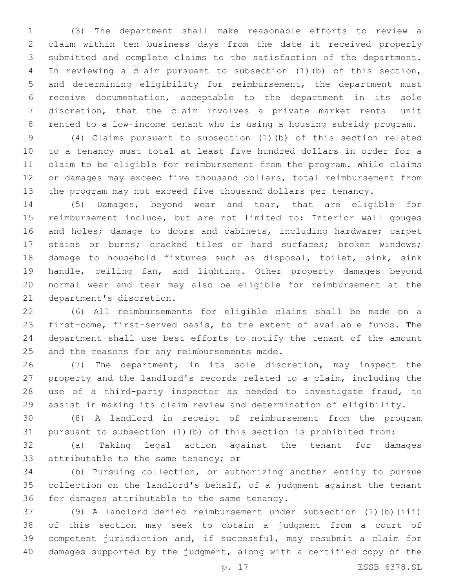(3) The department shall make reasonable efforts to review a claim within ten business days from the date it received properly submitted and complete claims to the satisfaction of the department. In reviewing a claim pursuant to subsection (1)(b) of this section, and determining eligibility for reimbursement, the department must receive documentation, acceptable to the department in its sole discretion, that the claim involves a private market rental unit rented to a low-income tenant who is using a housing subsidy program.

 (4) Claims pursuant to subsection (1)(b) of this section related to a tenancy must total at least five hundred dollars in order for a claim to be eligible for reimbursement from the program. While claims or damages may exceed five thousand dollars, total reimbursement from the program may not exceed five thousand dollars per tenancy.

 (5) Damages, beyond wear and tear, that are eligible for reimbursement include, but are not limited to: Interior wall gouges and holes; damage to doors and cabinets, including hardware; carpet stains or burns; cracked tiles or hard surfaces; broken windows; damage to household fixtures such as disposal, toilet, sink, sink handle, ceiling fan, and lighting. Other property damages beyond normal wear and tear may also be eligible for reimbursement at the 21 department's discretion.

 (6) All reimbursements for eligible claims shall be made on a first-come, first-served basis, to the extent of available funds. The department shall use best efforts to notify the tenant of the amount 25 and the reasons for any reimbursements made.

 (7) The department, in its sole discretion, may inspect the property and the landlord's records related to a claim, including the use of a third-party inspector as needed to investigate fraud, to assist in making its claim review and determination of eligibility.

 (8) A landlord in receipt of reimbursement from the program pursuant to subsection (1)(b) of this section is prohibited from:

 (a) Taking legal action against the tenant for damages 33 attributable to the same tenancy; or

 (b) Pursuing collection, or authorizing another entity to pursue collection on the landlord's behalf, of a judgment against the tenant 36 for damages attributable to the same tenancy.

 (9) A landlord denied reimbursement under subsection (1)(b)(iii) of this section may seek to obtain a judgment from a court of competent jurisdiction and, if successful, may resubmit a claim for damages supported by the judgment, along with a certified copy of the

p. 17 ESSB 6378.SL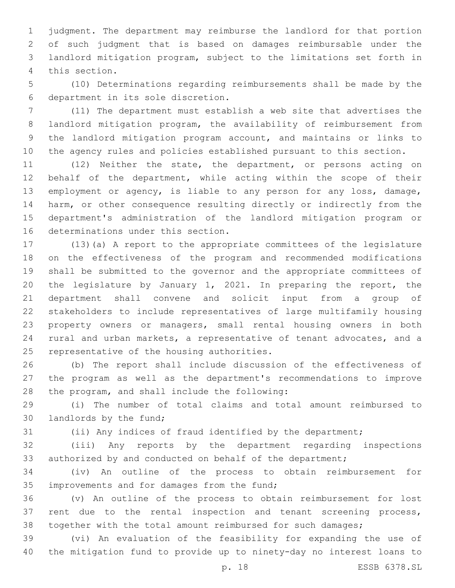judgment. The department may reimburse the landlord for that portion of such judgment that is based on damages reimbursable under the landlord mitigation program, subject to the limitations set forth in 4 this section.

 (10) Determinations regarding reimbursements shall be made by the department in its sole discretion.6

 (11) The department must establish a web site that advertises the landlord mitigation program, the availability of reimbursement from the landlord mitigation program account, and maintains or links to the agency rules and policies established pursuant to this section.

 (12) Neither the state, the department, or persons acting on behalf of the department, while acting within the scope of their employment or agency, is liable to any person for any loss, damage, harm, or other consequence resulting directly or indirectly from the department's administration of the landlord mitigation program or 16 determinations under this section.

 (13)(a) A report to the appropriate committees of the legislature on the effectiveness of the program and recommended modifications shall be submitted to the governor and the appropriate committees of the legislature by January 1, 2021. In preparing the report, the department shall convene and solicit input from a group of stakeholders to include representatives of large multifamily housing property owners or managers, small rental housing owners in both rural and urban markets, a representative of tenant advocates, and a 25 representative of the housing authorities.

 (b) The report shall include discussion of the effectiveness of the program as well as the department's recommendations to improve 28 the program, and shall include the following:

 (i) The number of total claims and total amount reimbursed to 30 landlords by the fund;

(ii) Any indices of fraud identified by the department;

 (iii) Any reports by the department regarding inspections 33 authorized by and conducted on behalf of the department;

 (iv) An outline of the process to obtain reimbursement for 35 improvements and for damages from the fund;

 (v) An outline of the process to obtain reimbursement for lost rent due to the rental inspection and tenant screening process, together with the total amount reimbursed for such damages;

 (vi) An evaluation of the feasibility for expanding the use of the mitigation fund to provide up to ninety-day no interest loans to

p. 18 ESSB 6378.SL